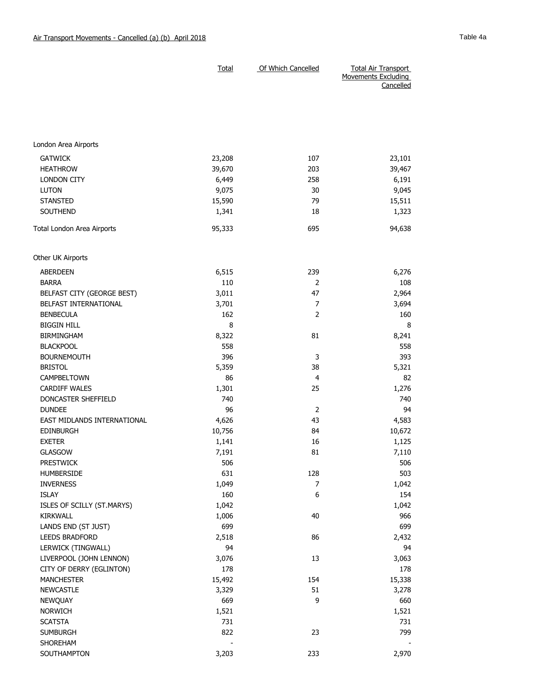|                             | <b>Total</b> | Of Which Cancelled | <b>Total Air Transport</b><br>Movements Excluding<br>Cancelled |
|-----------------------------|--------------|--------------------|----------------------------------------------------------------|
|                             |              |                    |                                                                |
| London Area Airports        |              |                    |                                                                |
|                             |              |                    |                                                                |
| <b>GATWICK</b>              | 23,208       | 107                | 23,101                                                         |
| <b>HEATHROW</b>             | 39,670       | 203                | 39,467                                                         |
| LONDON CITY                 | 6,449        | 258                | 6,191                                                          |
| <b>LUTON</b>                | 9,075        | 30                 | 9,045                                                          |
| <b>STANSTED</b>             | 15,590       | 79                 | 15,511                                                         |
| SOUTHEND                    | 1,341        | 18                 | 1,323                                                          |
| Total London Area Airports  | 95,333       | 695                | 94,638                                                         |
| Other UK Airports           |              |                    |                                                                |
| <b>ABERDEEN</b>             | 6,515        | 239                | 6,276                                                          |
| <b>BARRA</b>                | 110          | $\overline{2}$     | 108                                                            |
| BELFAST CITY (GEORGE BEST)  | 3,011        | 47                 | 2,964                                                          |
| BELFAST INTERNATIONAL       | 3,701        | 7                  | 3,694                                                          |
| <b>BENBECULA</b>            | 162          | $\overline{2}$     | 160                                                            |
| <b>BIGGIN HILL</b>          | 8            |                    | 8                                                              |
| <b>BIRMINGHAM</b>           | 8,322        | 81                 | 8,241                                                          |
| <b>BLACKPOOL</b>            | 558          |                    | 558                                                            |
| <b>BOURNEMOUTH</b>          | 396          | 3                  | 393                                                            |
| <b>BRISTOL</b>              | 5,359        | 38                 | 5,321                                                          |
| CAMPBELTOWN                 | 86           | $\overline{4}$     | 82                                                             |
| <b>CARDIFF WALES</b>        | 1,301        | 25                 | 1,276                                                          |
| DONCASTER SHEFFIELD         | 740          |                    | 740                                                            |
| <b>DUNDEE</b>               | 96           | $\overline{2}$     | 94                                                             |
| EAST MIDLANDS INTERNATIONAL | 4,626        | 43                 | 4,583                                                          |
| <b>EDINBURGH</b>            | 10,756       | 84                 | 10,672                                                         |
| <b>EXETER</b>               | 1,141        | 16                 | 1,125                                                          |
| <b>GLASGOW</b>              | 7,191        | 81                 | 7,110                                                          |
| <b>PRESTWICK</b>            | 506          |                    | 506                                                            |
| HUMBERSIDE                  | 631          | 128                | 503                                                            |
| <b>INVERNESS</b>            | 1,049        | $\overline{7}$     | 1,042                                                          |
| <b>ISLAY</b>                | 160          | 6                  | 154                                                            |
| ISLES OF SCILLY (ST.MARYS)  | 1,042        |                    | 1,042                                                          |
| KIRKWALL                    | 1,006        | 40                 | 966                                                            |
| LANDS END (ST JUST)         | 699          |                    | 699                                                            |
| <b>LEEDS BRADFORD</b>       | 2,518        | 86                 | 2,432                                                          |
| LERWICK (TINGWALL)          | 94           |                    | 94                                                             |
| LIVERPOOL (JOHN LENNON)     | 3,076        | 13                 | 3,063                                                          |
| CITY OF DERRY (EGLINTON)    | 178          |                    | 178                                                            |
| <b>MANCHESTER</b>           | 15,492       | 154                | 15,338                                                         |
| <b>NEWCASTLE</b>            | 3,329        | 51                 | 3,278                                                          |
| NEWQUAY                     | 669          | 9                  | 660                                                            |
| <b>NORWICH</b>              | 1,521        |                    | 1,521                                                          |
| <b>SCATSTA</b>              | 731          |                    | 731                                                            |
| <b>SUMBURGH</b><br>SHOREHAM | 822          | 23                 | 799                                                            |
| SOUTHAMPTON                 | 3,203        | 233                | 2,970                                                          |
|                             |              |                    |                                                                |